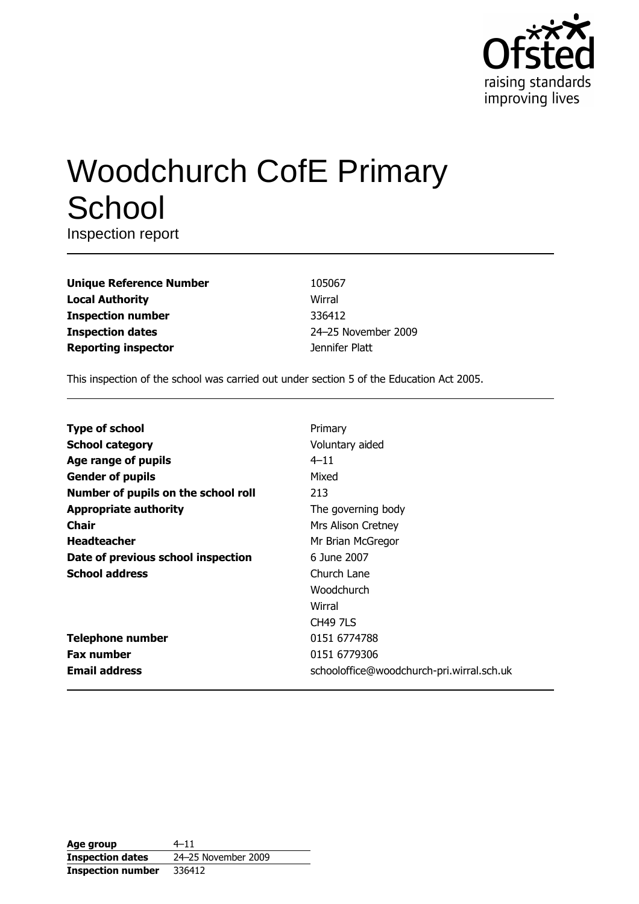

# **Woodchurch CofE Primary** School

Inspection report

**Unique Reference Number Local Authority Inspection number Inspection dates Reporting inspector** 

105067 Wirral 336412 24-25 November 2009 Jennifer Platt

This inspection of the school was carried out under section 5 of the Education Act 2005.

| <b>Type of school</b>               | Primary                                   |
|-------------------------------------|-------------------------------------------|
| <b>School category</b>              | Voluntary aided                           |
| Age range of pupils                 | $4 - 11$                                  |
| <b>Gender of pupils</b>             | Mixed                                     |
| Number of pupils on the school roll | 213                                       |
| <b>Appropriate authority</b>        | The governing body                        |
| Chair                               | Mrs Alison Cretney                        |
| <b>Headteacher</b>                  | Mr Brian McGregor                         |
| Date of previous school inspection  | 6 June 2007                               |
| <b>School address</b>               | Church Lane                               |
|                                     | Woodchurch                                |
|                                     | Wirral                                    |
|                                     | <b>CH49 7LS</b>                           |
| <b>Telephone number</b>             | 0151 6774788                              |
| <b>Fax number</b>                   | 0151 6779306                              |
| <b>Email address</b>                | schooloffice@woodchurch-pri.wirral.sch.uk |

| Age group                | $4 - 11$            |
|--------------------------|---------------------|
| <b>Inspection dates</b>  | 24-25 November 2009 |
| <b>Inspection number</b> | 336412              |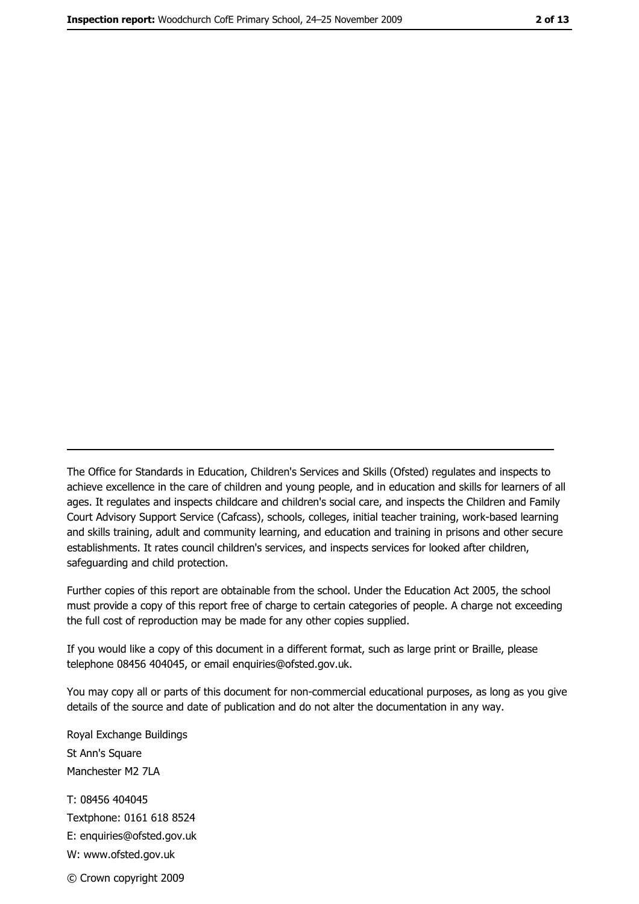The Office for Standards in Education, Children's Services and Skills (Ofsted) regulates and inspects to achieve excellence in the care of children and young people, and in education and skills for learners of all ages. It regulates and inspects childcare and children's social care, and inspects the Children and Family Court Advisory Support Service (Cafcass), schools, colleges, initial teacher training, work-based learning and skills training, adult and community learning, and education and training in prisons and other secure establishments. It rates council children's services, and inspects services for looked after children, safequarding and child protection.

Further copies of this report are obtainable from the school. Under the Education Act 2005, the school must provide a copy of this report free of charge to certain categories of people. A charge not exceeding the full cost of reproduction may be made for any other copies supplied.

If you would like a copy of this document in a different format, such as large print or Braille, please telephone 08456 404045, or email enquiries@ofsted.gov.uk.

You may copy all or parts of this document for non-commercial educational purposes, as long as you give details of the source and date of publication and do not alter the documentation in any way.

Royal Exchange Buildings St Ann's Square Manchester M2 7LA T: 08456 404045 Textphone: 0161 618 8524 E: enquiries@ofsted.gov.uk W: www.ofsted.gov.uk © Crown copyright 2009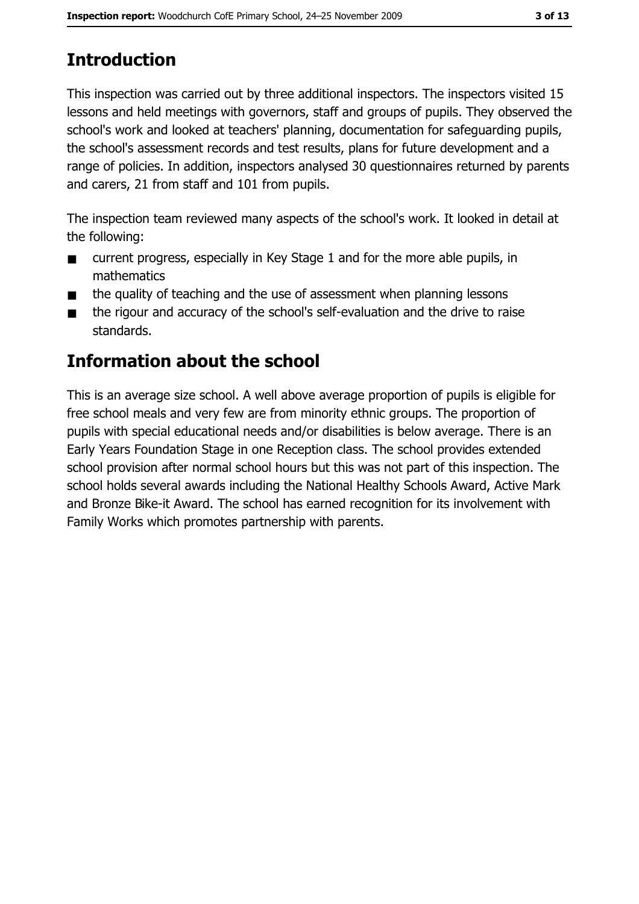# **Introduction**

This inspection was carried out by three additional inspectors. The inspectors visited 15 lessons and held meetings with governors, staff and groups of pupils. They observed the school's work and looked at teachers' planning, documentation for safeguarding pupils, the school's assessment records and test results, plans for future development and a range of policies. In addition, inspectors analysed 30 questionnaires returned by parents and carers, 21 from staff and 101 from pupils.

The inspection team reviewed many aspects of the school's work. It looked in detail at the following:

- current progress, especially in Key Stage 1 and for the more able pupils, in  $\blacksquare$ mathematics
- the quality of teaching and the use of assessment when planning lessons  $\blacksquare$
- the rigour and accuracy of the school's self-evaluation and the drive to raise  $\blacksquare$ standards.

## **Information about the school**

This is an average size school. A well above average proportion of pupils is eligible for free school meals and very few are from minority ethnic groups. The proportion of pupils with special educational needs and/or disabilities is below average. There is an Early Years Foundation Stage in one Reception class. The school provides extended school provision after normal school hours but this was not part of this inspection. The school holds several awards including the National Healthy Schools Award, Active Mark and Bronze Bike-it Award. The school has earned recognition for its involvement with Family Works which promotes partnership with parents.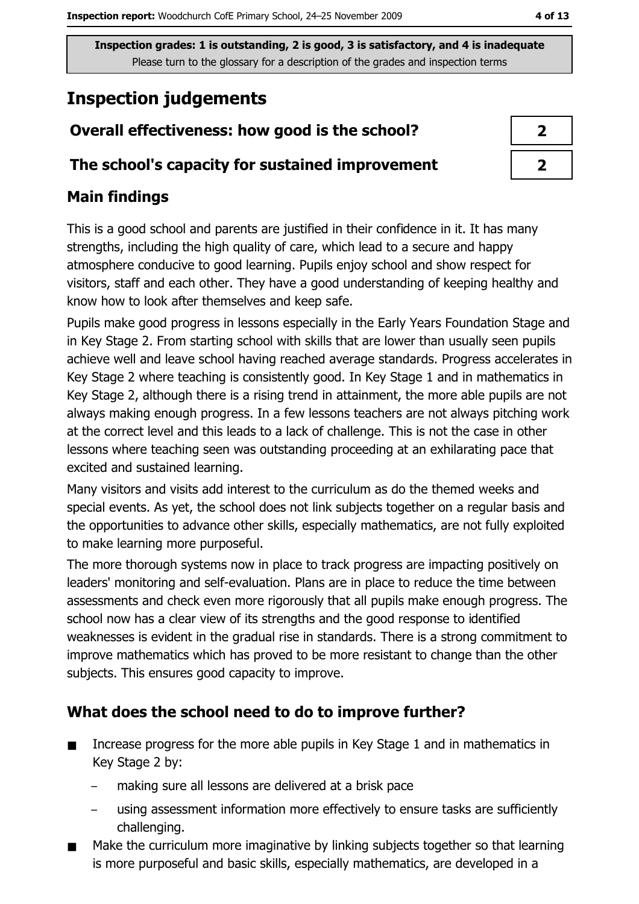Inspection grades: 1 is outstanding, 2 is good, 3 is satisfactory, and 4 is inadequate Please turn to the glossary for a description of the grades and inspection terms

# **Inspection judgements**

## Overall effectiveness: how good is the school?

#### The school's capacity for sustained improvement

## **Main findings**

This is a good school and parents are justified in their confidence in it. It has many strengths, including the high quality of care, which lead to a secure and happy atmosphere conducive to good learning. Pupils enjoy school and show respect for visitors, staff and each other. They have a good understanding of keeping healthy and know how to look after themselves and keep safe.

Pupils make good progress in lessons especially in the Early Years Foundation Stage and in Key Stage 2. From starting school with skills that are lower than usually seen pupils achieve well and leave school having reached average standards. Progress accelerates in Key Stage 2 where teaching is consistently good. In Key Stage 1 and in mathematics in Key Stage 2, although there is a rising trend in attainment, the more able pupils are not always making enough progress. In a few lessons teachers are not always pitching work at the correct level and this leads to a lack of challenge. This is not the case in other lessons where teaching seen was outstanding proceeding at an exhilarating pace that excited and sustained learning.

Many visitors and visits add interest to the curriculum as do the themed weeks and special events. As yet, the school does not link subjects together on a regular basis and the opportunities to advance other skills, especially mathematics, are not fully exploited to make learning more purposeful.

The more thorough systems now in place to track progress are impacting positively on leaders' monitoring and self-evaluation. Plans are in place to reduce the time between assessments and check even more rigorously that all pupils make enough progress. The school now has a clear view of its strengths and the good response to identified weaknesses is evident in the gradual rise in standards. There is a strong commitment to improve mathematics which has proved to be more resistant to change than the other subjects. This ensures good capacity to improve.

## What does the school need to do to improve further?

- $\blacksquare$ Increase progress for the more able pupils in Key Stage 1 and in mathematics in Key Stage 2 by:
	- making sure all lessons are delivered at a brisk pace
	- using assessment information more effectively to ensure tasks are sufficiently challenging.
- Make the curriculum more imaginative by linking subjects together so that learning is more purposeful and basic skills, especially mathematics, are developed in a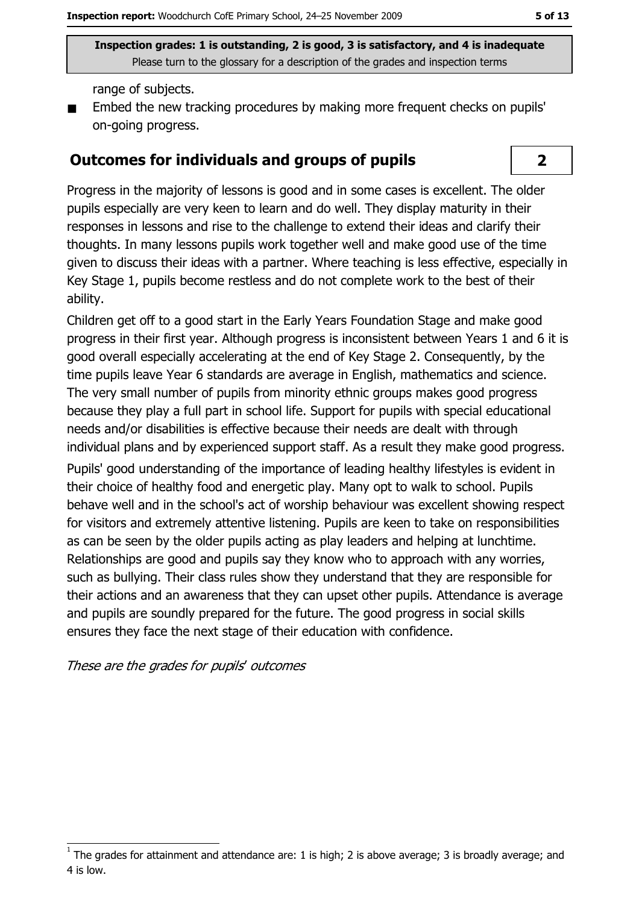Inspection grades: 1 is outstanding, 2 is good, 3 is satisfactory, and 4 is inadequate Please turn to the glossary for a description of the grades and inspection terms

range of subjects.

Embed the new tracking procedures by making more frequent checks on pupils' on-going progress.

#### **Outcomes for individuals and groups of pupils**

Progress in the majority of lessons is good and in some cases is excellent. The older pupils especially are very keen to learn and do well. They display maturity in their responses in lessons and rise to the challenge to extend their ideas and clarify their thoughts. In many lessons pupils work together well and make good use of the time given to discuss their ideas with a partner. Where teaching is less effective, especially in Key Stage 1, pupils become restless and do not complete work to the best of their ability.

Children get off to a good start in the Early Years Foundation Stage and make good progress in their first year. Although progress is inconsistent between Years 1 and 6 it is good overall especially accelerating at the end of Key Stage 2. Consequently, by the time pupils leave Year 6 standards are average in English, mathematics and science. The very small number of pupils from minority ethnic groups makes good progress because they play a full part in school life. Support for pupils with special educational needs and/or disabilities is effective because their needs are dealt with through individual plans and by experienced support staff. As a result they make good progress.

Pupils' good understanding of the importance of leading healthy lifestyles is evident in their choice of healthy food and energetic play. Many opt to walk to school. Pupils behave well and in the school's act of worship behaviour was excellent showing respect for visitors and extremely attentive listening. Pupils are keen to take on responsibilities as can be seen by the older pupils acting as play leaders and helping at lunchtime. Relationships are good and pupils say they know who to approach with any worries, such as bullying. Their class rules show they understand that they are responsible for their actions and an awareness that they can upset other pupils. Attendance is average and pupils are soundly prepared for the future. The good progress in social skills ensures they face the next stage of their education with confidence.

These are the grades for pupils' outcomes

#### $\overline{2}$

The grades for attainment and attendance are: 1 is high; 2 is above average; 3 is broadly average; and 4 is low.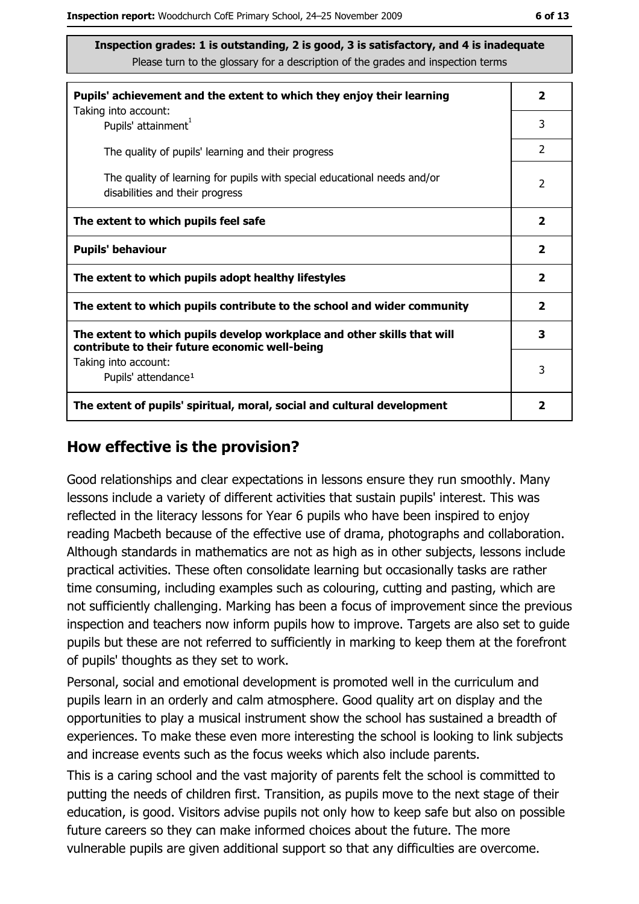Inspection grades: 1 is outstanding, 2 is good, 3 is satisfactory, and 4 is inadequate Please turn to the glossary for a description of the grades and inspection terms

| Pupils' achievement and the extent to which they enjoy their learning                                                     |               |  |  |
|---------------------------------------------------------------------------------------------------------------------------|---------------|--|--|
| Taking into account:<br>Pupils' attainment <sup>1</sup>                                                                   | 3             |  |  |
| The quality of pupils' learning and their progress                                                                        | $\mathcal{P}$ |  |  |
| The quality of learning for pupils with special educational needs and/or<br>disabilities and their progress               |               |  |  |
| The extent to which pupils feel safe                                                                                      |               |  |  |
| <b>Pupils' behaviour</b>                                                                                                  |               |  |  |
| The extent to which pupils adopt healthy lifestyles                                                                       |               |  |  |
| The extent to which pupils contribute to the school and wider community                                                   |               |  |  |
| The extent to which pupils develop workplace and other skills that will<br>contribute to their future economic well-being |               |  |  |
| Taking into account:<br>Pupils' attendance <sup>1</sup>                                                                   |               |  |  |
| The extent of pupils' spiritual, moral, social and cultural development                                                   |               |  |  |

#### How effective is the provision?

Good relationships and clear expectations in lessons ensure they run smoothly. Many lessons include a variety of different activities that sustain pupils' interest. This was reflected in the literacy lessons for Year 6 pupils who have been inspired to enjoy reading Macbeth because of the effective use of drama, photographs and collaboration. Although standards in mathematics are not as high as in other subjects, lessons include practical activities. These often consolidate learning but occasionally tasks are rather time consuming, including examples such as colouring, cutting and pasting, which are not sufficiently challenging. Marking has been a focus of improvement since the previous inspection and teachers now inform pupils how to improve. Targets are also set to quide pupils but these are not referred to sufficiently in marking to keep them at the forefront of pupils' thoughts as they set to work.

Personal, social and emotional development is promoted well in the curriculum and pupils learn in an orderly and calm atmosphere. Good quality art on display and the opportunities to play a musical instrument show the school has sustained a breadth of experiences. To make these even more interesting the school is looking to link subjects and increase events such as the focus weeks which also include parents.

This is a caring school and the vast majority of parents felt the school is committed to putting the needs of children first. Transition, as pupils move to the next stage of their education, is good. Visitors advise pupils not only how to keep safe but also on possible future careers so they can make informed choices about the future. The more vulnerable pupils are given additional support so that any difficulties are overcome.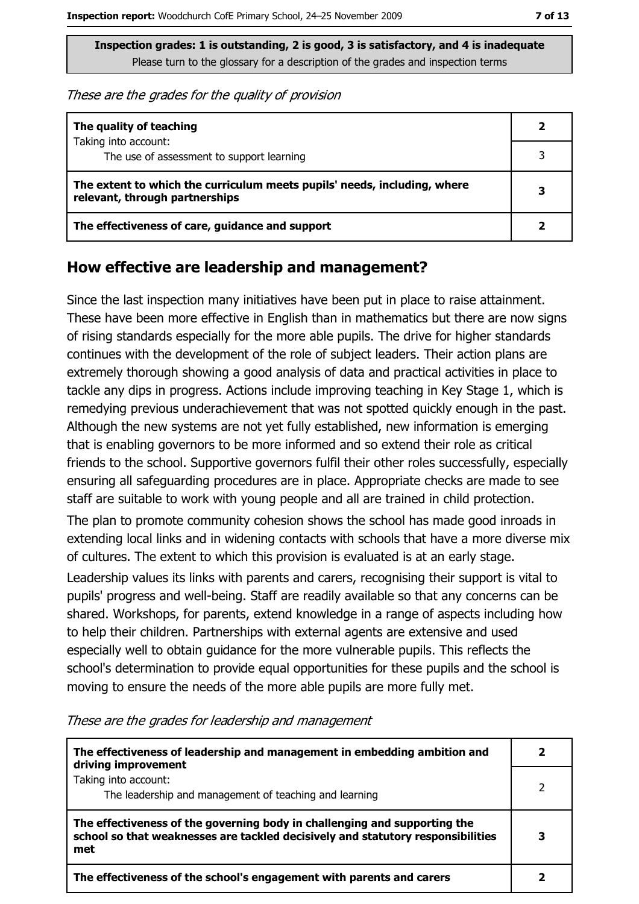These are the grades for the quality of provision

| The quality of teaching                                                                                    |   |
|------------------------------------------------------------------------------------------------------------|---|
| Taking into account:<br>The use of assessment to support learning                                          |   |
| The extent to which the curriculum meets pupils' needs, including, where<br>relevant, through partnerships | 3 |
| The effectiveness of care, guidance and support                                                            |   |

#### How effective are leadership and management?

Since the last inspection many initiatives have been put in place to raise attainment. These have been more effective in English than in mathematics but there are now signs of rising standards especially for the more able pupils. The drive for higher standards continues with the development of the role of subject leaders. Their action plans are extremely thorough showing a good analysis of data and practical activities in place to tackle any dips in progress. Actions include improving teaching in Key Stage 1, which is remedying previous underachievement that was not spotted quickly enough in the past. Although the new systems are not yet fully established, new information is emerging that is enabling governors to be more informed and so extend their role as critical friends to the school. Supportive governors fulfil their other roles successfully, especially ensuring all safeguarding procedures are in place. Appropriate checks are made to see staff are suitable to work with young people and all are trained in child protection.

The plan to promote community cohesion shows the school has made good inroads in extending local links and in widening contacts with schools that have a more diverse mix of cultures. The extent to which this provision is evaluated is at an early stage.

Leadership values its links with parents and carers, recognising their support is vital to pupils' progress and well-being. Staff are readily available so that any concerns can be shared. Workshops, for parents, extend knowledge in a range of aspects including how to help their children. Partnerships with external agents are extensive and used especially well to obtain guidance for the more vulnerable pupils. This reflects the school's determination to provide equal opportunities for these pupils and the school is moving to ensure the needs of the more able pupils are more fully met.

|  |  |  |  |  |  |  | These are the grades for leadership and management |
|--|--|--|--|--|--|--|----------------------------------------------------|
|--|--|--|--|--|--|--|----------------------------------------------------|

| The effectiveness of leadership and management in embedding ambition and<br>driving improvement                                                                     |  |
|---------------------------------------------------------------------------------------------------------------------------------------------------------------------|--|
| Taking into account:<br>The leadership and management of teaching and learning                                                                                      |  |
| The effectiveness of the governing body in challenging and supporting the<br>school so that weaknesses are tackled decisively and statutory responsibilities<br>met |  |
| The effectiveness of the school's engagement with parents and carers                                                                                                |  |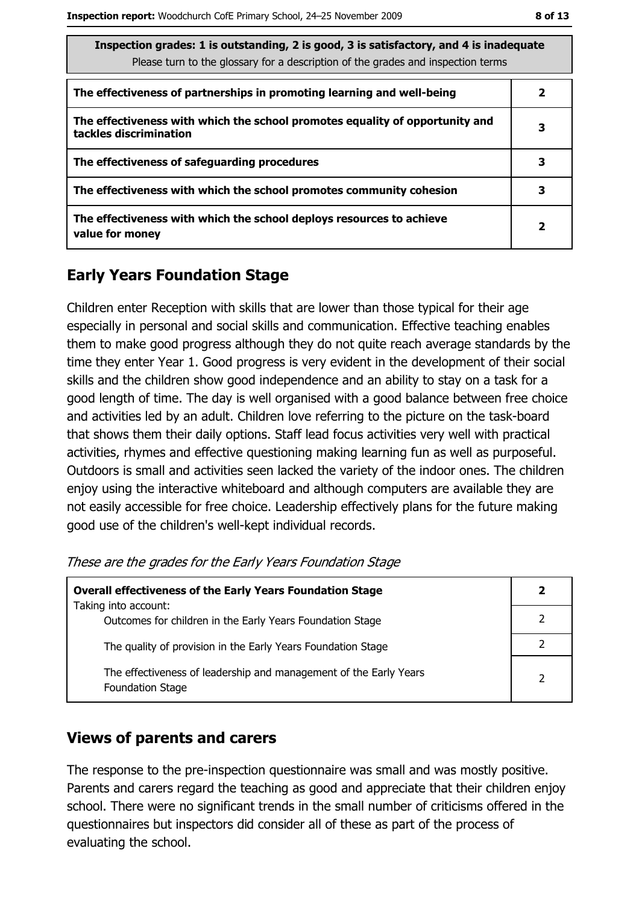| Inspection grades: 1 is outstanding, 2 is good, 3 is satisfactory, and 4 is inadequate<br>Please turn to the glossary for a description of the grades and inspection terms |                         |  |  |  |
|----------------------------------------------------------------------------------------------------------------------------------------------------------------------------|-------------------------|--|--|--|
| The effectiveness of partnerships in promoting learning and well-being                                                                                                     | 2                       |  |  |  |
| The effectiveness with which the school promotes equality of opportunity and<br>tackles discrimination                                                                     | з                       |  |  |  |
| The effectiveness of safeguarding procedures                                                                                                                               | 3                       |  |  |  |
| The effectiveness with which the school promotes community cohesion                                                                                                        | 3                       |  |  |  |
| The effectiveness with which the school deploys resources to achieve<br>value for money                                                                                    | $\overline{\mathbf{2}}$ |  |  |  |

## **Early Years Foundation Stage**

Children enter Reception with skills that are lower than those typical for their age especially in personal and social skills and communication. Effective teaching enables them to make good progress although they do not quite reach average standards by the time they enter Year 1. Good progress is very evident in the development of their social skills and the children show good independence and an ability to stay on a task for a good length of time. The day is well organised with a good balance between free choice and activities led by an adult. Children love referring to the picture on the task-board that shows them their daily options. Staff lead focus activities very well with practical activities, rhymes and effective questioning making learning fun as well as purposeful. Outdoors is small and activities seen lacked the variety of the indoor ones. The children enjoy using the interactive whiteboard and although computers are available they are not easily accessible for free choice. Leadership effectively plans for the future making good use of the children's well-kept individual records.

These are the grades for the Early Years Foundation Stage

| <b>Overall effectiveness of the Early Years Foundation Stage</b>                             |   |  |  |
|----------------------------------------------------------------------------------------------|---|--|--|
| Taking into account:                                                                         |   |  |  |
| Outcomes for children in the Early Years Foundation Stage                                    |   |  |  |
| The quality of provision in the Early Years Foundation Stage                                 |   |  |  |
| The effectiveness of leadership and management of the Early Years<br><b>Foundation Stage</b> | 2 |  |  |

#### **Views of parents and carers**

The response to the pre-inspection questionnaire was small and was mostly positive. Parents and carers regard the teaching as good and appreciate that their children enjoy school. There were no significant trends in the small number of criticisms offered in the questionnaires but inspectors did consider all of these as part of the process of evaluating the school.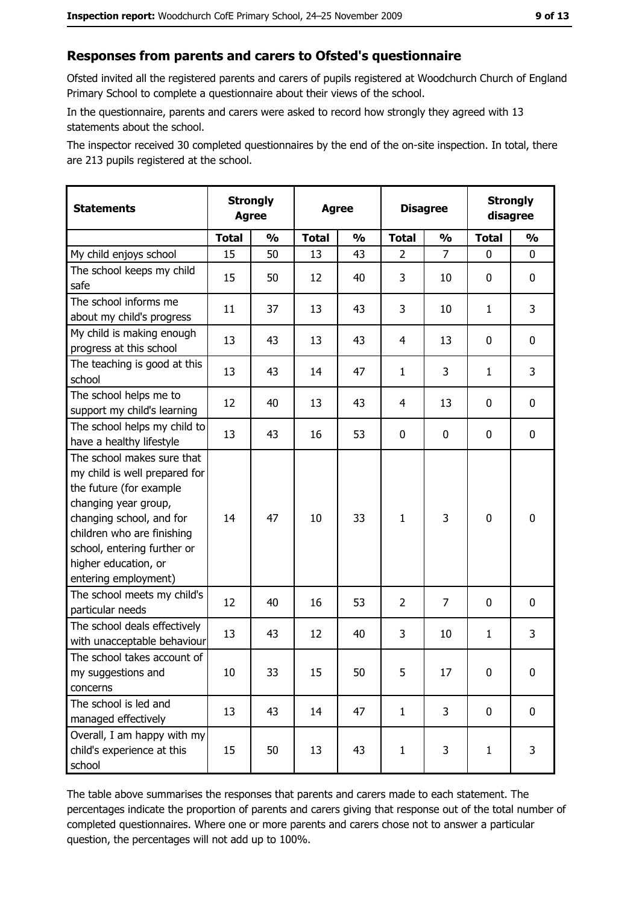## Responses from parents and carers to Ofsted's questionnaire

Ofsted invited all the registered parents and carers of pupils registered at Woodchurch Church of England Primary School to complete a questionnaire about their views of the school.

In the questionnaire, parents and carers were asked to record how strongly they agreed with 13 statements about the school.

The inspector received 30 completed questionnaires by the end of the on-site inspection. In total, there are 213 pupils registered at the school.

| <b>Statements</b>                                                                                                                                                                                                                                       | <b>Agree</b> | <b>Strongly</b> | <b>Agree</b> |               | <b>Disagree</b> |                | <b>Strongly</b><br>disagree |                  |
|---------------------------------------------------------------------------------------------------------------------------------------------------------------------------------------------------------------------------------------------------------|--------------|-----------------|--------------|---------------|-----------------|----------------|-----------------------------|------------------|
|                                                                                                                                                                                                                                                         | <b>Total</b> | $\frac{1}{2}$   | <b>Total</b> | $\frac{0}{0}$ | <b>Total</b>    | $\frac{1}{2}$  | <b>Total</b>                | $\frac{1}{2}$    |
| My child enjoys school                                                                                                                                                                                                                                  | 15           | 50              | 13           | 43            | $\overline{2}$  | 7              | 0                           | $\mathbf 0$      |
| The school keeps my child<br>safe                                                                                                                                                                                                                       | 15           | 50              | 12           | 40            | 3               | 10             | 0                           | $\mathbf 0$      |
| The school informs me<br>about my child's progress                                                                                                                                                                                                      | 11           | 37              | 13           | 43            | 3               | 10             | 1                           | 3                |
| My child is making enough<br>progress at this school                                                                                                                                                                                                    | 13           | 43              | 13           | 43            | $\overline{4}$  | 13             | 0                           | 0                |
| The teaching is good at this<br>school                                                                                                                                                                                                                  | 13           | 43              | 14           | 47            | $\mathbf{1}$    | 3              | 1                           | 3                |
| The school helps me to<br>support my child's learning                                                                                                                                                                                                   | 12           | 40              | 13           | 43            | $\overline{4}$  | 13             | 0                           | $\mathbf 0$      |
| The school helps my child to<br>have a healthy lifestyle                                                                                                                                                                                                | 13           | 43              | 16           | 53            | $\mathbf 0$     | 0              | 0                           | $\mathbf 0$      |
| The school makes sure that<br>my child is well prepared for<br>the future (for example<br>changing year group,<br>changing school, and for<br>children who are finishing<br>school, entering further or<br>higher education, or<br>entering employment) | 14           | 47              | 10           | 33            | $\mathbf{1}$    | 3              | $\mathbf 0$                 | $\mathbf 0$      |
| The school meets my child's<br>particular needs                                                                                                                                                                                                         | 12           | 40              | 16           | 53            | $\overline{2}$  | $\overline{7}$ | $\Omega$                    | $\mathbf 0$      |
| The school deals effectively<br>with unacceptable behaviour                                                                                                                                                                                             | 13           | 43              | 12           | 40            | 3               | 10             | $\mathbf{1}$                | 3                |
| The school takes account of<br>my suggestions and<br>concerns                                                                                                                                                                                           | 10           | 33              | 15           | 50            | 5               | 17             | 0                           | $\boldsymbol{0}$ |
| The school is led and<br>managed effectively                                                                                                                                                                                                            | 13           | 43              | 14           | 47            | $\mathbf{1}$    | 3              | $\mathbf 0$                 | $\mathbf 0$      |
| Overall, I am happy with my<br>child's experience at this<br>school                                                                                                                                                                                     | 15           | 50              | 13           | 43            | $\mathbf{1}$    | 3              | $\mathbf{1}$                | 3                |

The table above summarises the responses that parents and carers made to each statement. The percentages indicate the proportion of parents and carers giving that response out of the total number of completed questionnaires. Where one or more parents and carers chose not to answer a particular question, the percentages will not add up to 100%.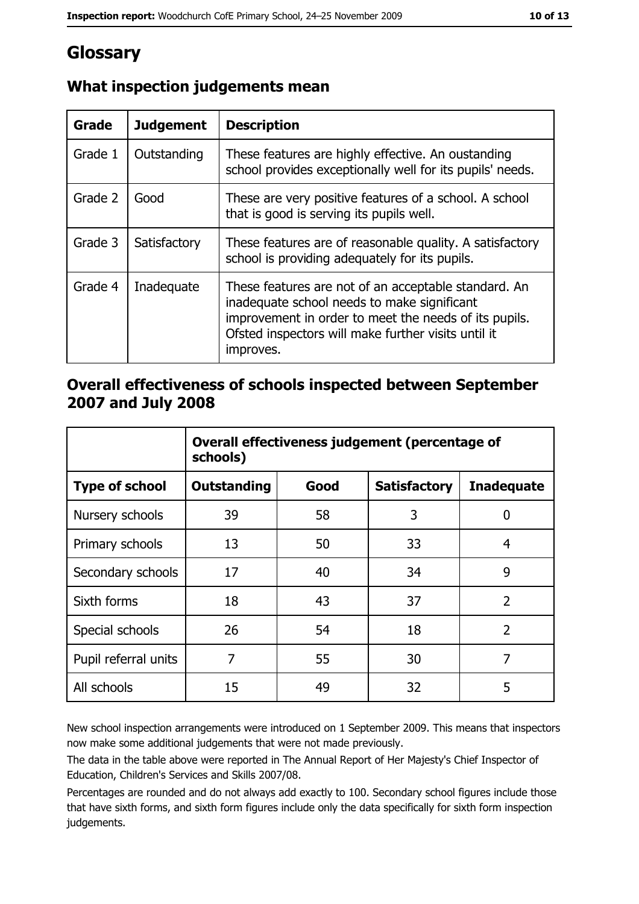# Glossary

| <b>Grade</b> | <b>Judgement</b> | <b>Description</b>                                                                                                                                                                                                               |
|--------------|------------------|----------------------------------------------------------------------------------------------------------------------------------------------------------------------------------------------------------------------------------|
| Grade 1      | Outstanding      | These features are highly effective. An oustanding<br>school provides exceptionally well for its pupils' needs.                                                                                                                  |
| Grade 2      | Good             | These are very positive features of a school. A school<br>that is good is serving its pupils well.                                                                                                                               |
| Grade 3      | Satisfactory     | These features are of reasonable quality. A satisfactory<br>school is providing adequately for its pupils.                                                                                                                       |
| Grade 4      | Inadequate       | These features are not of an acceptable standard. An<br>inadequate school needs to make significant<br>improvement in order to meet the needs of its pupils.<br>Ofsted inspectors will make further visits until it<br>improves. |

## What inspection judgements mean

#### Overall effectiveness of schools inspected between September 2007 and July 2008

|                       | Overall effectiveness judgement (percentage of<br>schools) |      |                     |                   |  |  |
|-----------------------|------------------------------------------------------------|------|---------------------|-------------------|--|--|
| <b>Type of school</b> | Outstanding                                                | Good | <b>Satisfactory</b> | <b>Inadequate</b> |  |  |
| Nursery schools       | 39                                                         | 58   | 3                   | 0                 |  |  |
| Primary schools       | 13                                                         | 50   | 33                  | 4                 |  |  |
| Secondary schools     | 17                                                         | 40   | 34                  | 9                 |  |  |
| Sixth forms           | 18                                                         | 43   | 37                  | $\overline{2}$    |  |  |
| Special schools       | 26                                                         | 54   | 18                  | $\overline{2}$    |  |  |
| Pupil referral units  | 7                                                          | 55   | 30                  | 7                 |  |  |
| All schools           | 15                                                         | 49   | 32                  | 5                 |  |  |

New school inspection arrangements were introduced on 1 September 2009. This means that inspectors now make some additional judgements that were not made previously.

The data in the table above were reported in The Annual Report of Her Majesty's Chief Inspector of Education, Children's Services and Skills 2007/08.

Percentages are rounded and do not always add exactly to 100. Secondary school figures include those that have sixth forms, and sixth form figures include only the data specifically for sixth form inspection judgements.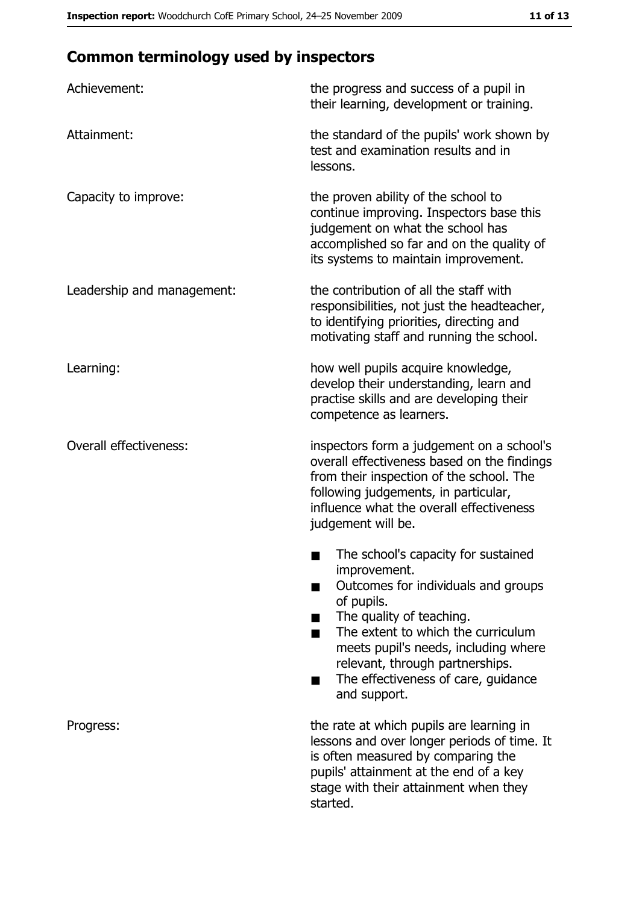# **Common terminology used by inspectors**

| Achievement:                  | the progress and success of a pupil in<br>their learning, development or training.                                                                                                                                                                                                                           |
|-------------------------------|--------------------------------------------------------------------------------------------------------------------------------------------------------------------------------------------------------------------------------------------------------------------------------------------------------------|
| Attainment:                   | the standard of the pupils' work shown by<br>test and examination results and in<br>lessons.                                                                                                                                                                                                                 |
| Capacity to improve:          | the proven ability of the school to<br>continue improving. Inspectors base this<br>judgement on what the school has<br>accomplished so far and on the quality of<br>its systems to maintain improvement.                                                                                                     |
| Leadership and management:    | the contribution of all the staff with<br>responsibilities, not just the headteacher,<br>to identifying priorities, directing and<br>motivating staff and running the school.                                                                                                                                |
| Learning:                     | how well pupils acquire knowledge,<br>develop their understanding, learn and<br>practise skills and are developing their<br>competence as learners.                                                                                                                                                          |
| <b>Overall effectiveness:</b> | inspectors form a judgement on a school's<br>overall effectiveness based on the findings<br>from their inspection of the school. The<br>following judgements, in particular,<br>influence what the overall effectiveness<br>judgement will be.                                                               |
|                               | The school's capacity for sustained<br>improvement.<br>Outcomes for individuals and groups<br>of pupils.<br>The quality of teaching.<br>The extent to which the curriculum<br>meets pupil's needs, including where<br>relevant, through partnerships.<br>The effectiveness of care, guidance<br>and support. |
| Progress:                     | the rate at which pupils are learning in<br>lessons and over longer periods of time. It<br>is often measured by comparing the<br>pupils' attainment at the end of a key<br>stage with their attainment when they<br>started.                                                                                 |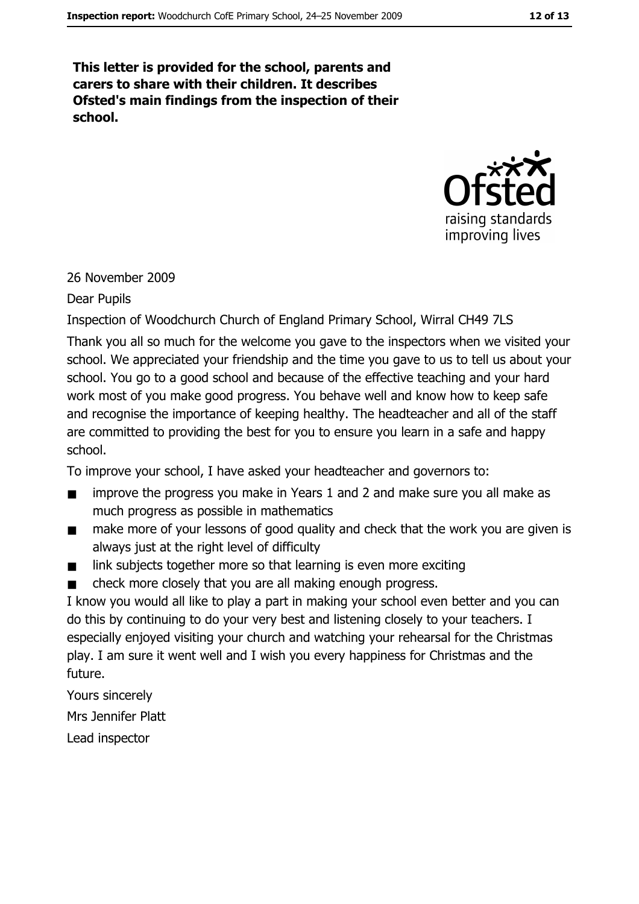This letter is provided for the school, parents and carers to share with their children. It describes Ofsted's main findings from the inspection of their school.



#### 26 November 2009

#### Dear Pupils

Inspection of Woodchurch Church of England Primary School, Wirral CH49 7LS

Thank you all so much for the welcome you gave to the inspectors when we visited your school. We appreciated your friendship and the time you gave to us to tell us about your school. You go to a good school and because of the effective teaching and your hard work most of you make good progress. You behave well and know how to keep safe and recognise the importance of keeping healthy. The headteacher and all of the staff are committed to providing the best for you to ensure you learn in a safe and happy school.

To improve your school, I have asked your headteacher and governors to:

- improve the progress you make in Years 1 and 2 and make sure you all make as  $\blacksquare$ much progress as possible in mathematics
- make more of your lessons of good quality and check that the work you are given is  $\blacksquare$ always just at the right level of difficulty
- link subjects together more so that learning is even more exciting  $\blacksquare$
- check more closely that you are all making enough progress.  $\blacksquare$

I know you would all like to play a part in making your school even better and you can do this by continuing to do your very best and listening closely to your teachers. I especially enjoyed visiting your church and watching your rehearsal for the Christmas play. I am sure it went well and I wish you every happiness for Christmas and the future.

Yours sincerely

Mrs Jennifer Platt

Lead inspector